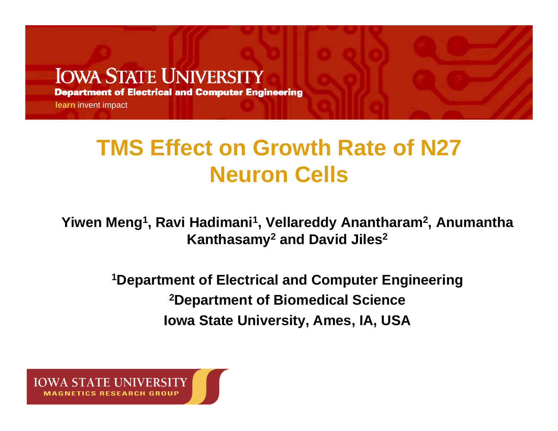#### **IOWA STATE UNIVERSITY**

**Department of Electrical and Computer Engineering** 

**learn** invent impact

### **TMS Effect on Growth Rate of N27 Neuron Cells**

**Yiwen Meng1, Ravi Hadimani1, Vellareddy Anantharam2, Anumantha Kanthasamy2 and David Jiles2**

> **1Department of Electrical and Computer Engineering 2Department of Biomedical Science Iowa State University, Ames, IA, USA**

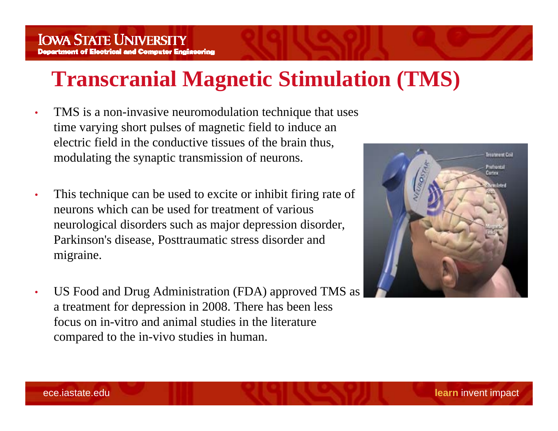#### **Transcranial Magnetic Stimulation (TMS)**

- • TMS is a non-invasive neuromodulation technique that uses time varying short pulses of magnetic field to induce an electric field in the conductive tissues of the brain thus, modulating the synaptic transmission of neurons.
- • This technique can be used to excite or inhibit firing rate of neurons which can be used for treatment of various neurological disorders such as major depression disorder, Parkinson's disease, Posttraumatic stress disorder and migraine.
- • US Food and Drug Administration (FDA) approved TMS as a treatment for depression in 2008. There has been less focus on in-vitro and animal studies in the literature compared to the in-vivo studies in human.

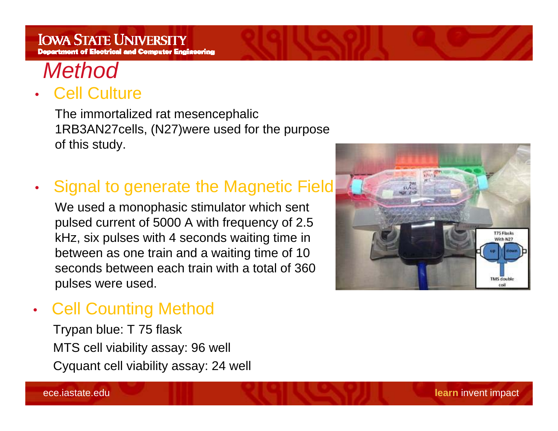

#### • Cell Culture

The immortalized rat mesencephalic 1RB3AN27cells, (N27)were used for the purpose of this study.

•• Signal to generate the Magnetic Field

We used a monophasic stimulator which sent pulsed current of 5000 A with frequency of 2.5 kHz, six pulses with 4 seconds waiting time in between as one train and a waiting time of 10 seconds between each train with a total of 360 pulses were used.



•Cell Counting Method

> Trypan blue: T 75 flask MTS cell viability assay: 96 well Cyquant cell viability assay: 24 well

ece.iastate.edu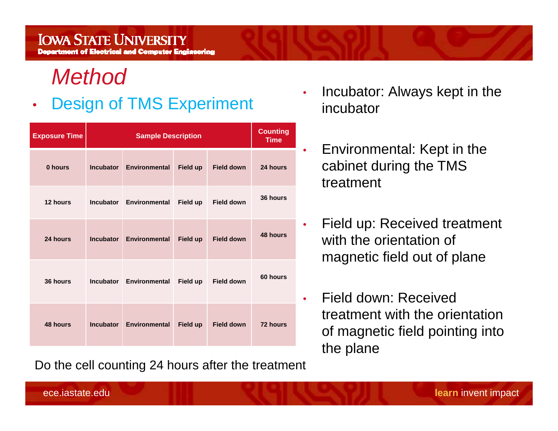#### *Method*

#### •Design of TMS Experiment

| <b>Exposure Time</b> | <b>Sample Description</b> |                         |                 |                   | <b>Counting</b><br><b>Time</b> |
|----------------------|---------------------------|-------------------------|-----------------|-------------------|--------------------------------|
| 0 hours              | <b>Incubator</b>          | <b>Environmental</b>    | Field up        | <b>Field down</b> | 24 hours                       |
| 12 hours             | <b>Incubator</b>          | Environmental           | Field up        | <b>Field down</b> | 36 hours                       |
| 24 hours             | <b>Incubator</b>          | <b>Environmental</b>    | <b>Field up</b> | <b>Field down</b> | 48 hours                       |
| 36 hours             |                           | Incubator Environmental | <b>Field up</b> | <b>Field down</b> | 60 hours                       |
| 48 hours             | <b>Incubator</b>          | <b>Environmental</b>    | <b>Field up</b> | <b>Field down</b> | 72 hours                       |

Do the cell counting 24 hours after the treatment

- • Incubator: Always kept in the incubator
- $\bullet$  Environmental: Kept in the cabinet during the TMS treatment
- • Field up: Received treatment with the orientation of magnetic field out of plane
- • Field down: Received treatment with the orientation of magnetic field pointing into the plane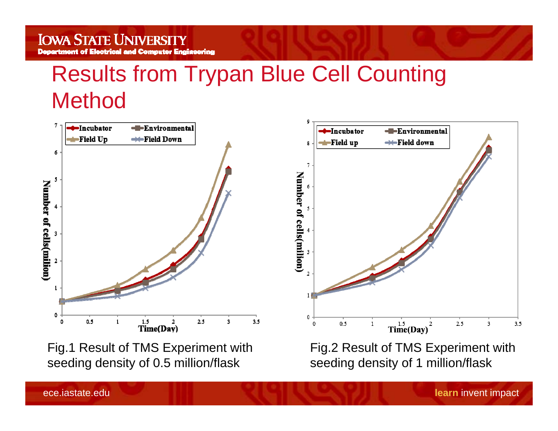#### **IOWA STATE UNIVERSITY** nt of Electrical and Computer Engineering

Results from Trypan Blue Cell Counting Method



Fig.1 Result of TMS Experiment with seeding density of 0.5 million/flask

Fig.2 Result of TMS Experiment with seeding density of 1 million/flask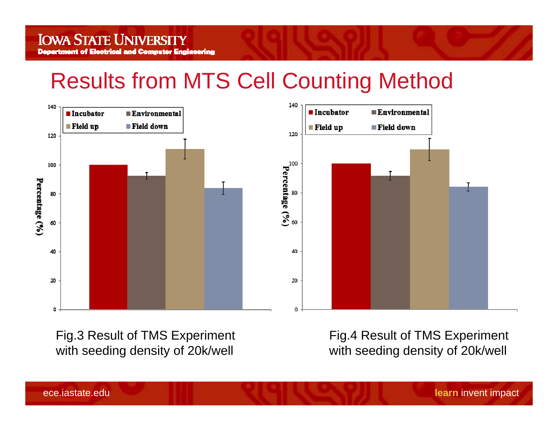### Results from MTS Cell Counting Method



Fig.3 Result of TMS Experiment with seeding density of 20k/well

Fig.4 Result of TMS Experiment with seeding density of 20k/well

ece.iastate.edu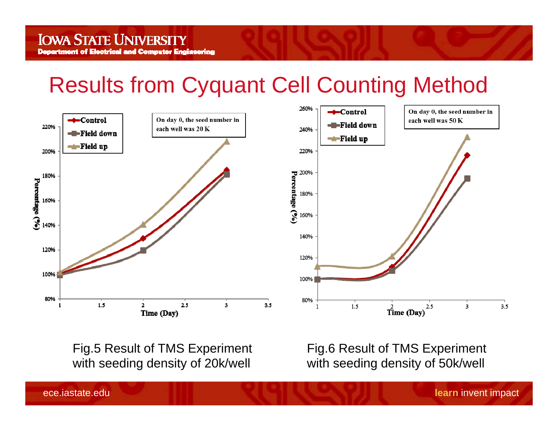#### Results from Cyquant Cell Counting Method



Fig.5 Result of TMS Experiment with seeding density of 20k/well

Fig.6 Result of TMS Experiment with seeding density of 50k/well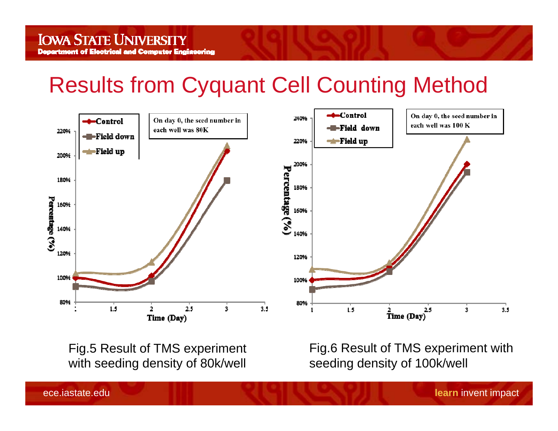### Results from Cyquant Cell Counting Method



Fig.5 Result of TMS experiment with seeding density of 80k/well

Fig.6 Result of TMS experiment with seeding density of 100k/well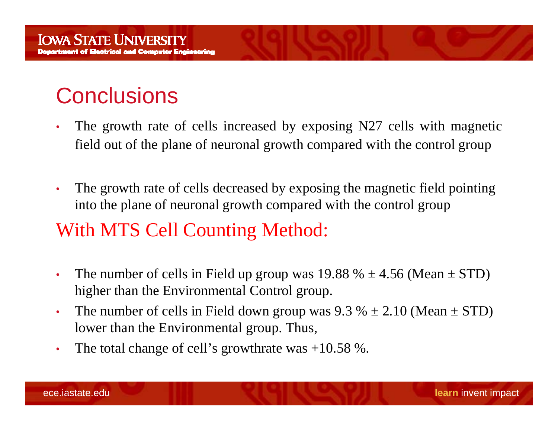## **Conclusions**

- • The growth rate of cells increased by exposing N27 cells with magnetic field out of the plane of neuronal growth compared with the control group
- • The growth rate of cells decreased by exposing the magnetic field pointing into the plane of neuronal growth compared with the control group

#### With MTS Cell Counting Method:

- •The number of cells in Field up group was  $19.88 \% \pm 4.56$  (Mean  $\pm$  STD) higher than the Environmental Control group.
- •The number of cells in Field down group was  $9.3 \% \pm 2.10$  (Mean  $\pm$  STD) lower than the Environmental group. Thus,
- •The total change of cell's growthrate was +10.58 %.